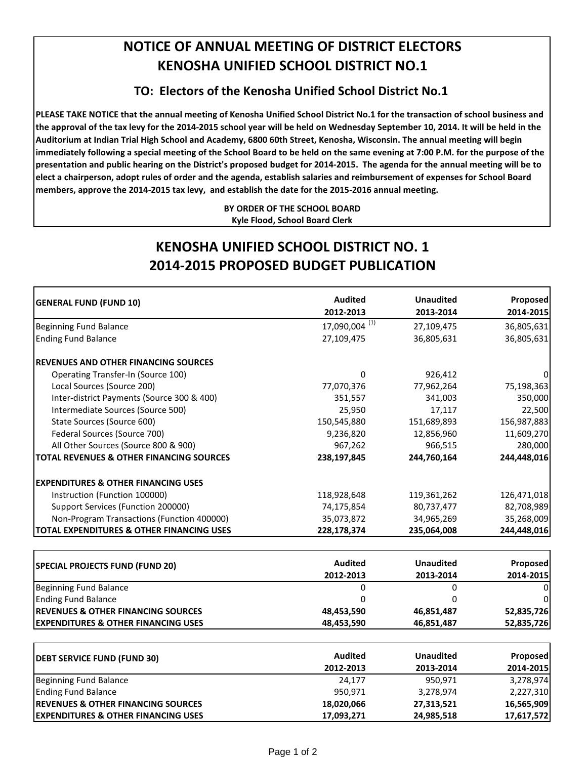## **NOTICE OF ANNUAL MEETING OF DISTRICT ELECTORS KENOSHA UNIFIED SCHOOL DISTRICT NO.1**

## **TO: Electors of the Kenosha Unified School District No.1**

PLEASE TAKE NOTICE that the annual meeting of Kenosha Unified School District No.1 for the transaction of school business and the approval of the tax levy for the 2014-2015 school year will be held on Wednesday September 10, 2014. It will be held in the Auditorium at Indian Trial High School and Academy, 6800 60th Street, Kenosha, Wisconsin. The annual meeting will begin immediately following a special meeting of the School Board to be held on the same evening at 7:00 P.M. for the purpose of the presentation and public hearing on the District's proposed budget for 2014-2015. The agenda for the annual meeting will be to elect a chairperson, adopt rules of order and the agenda, establish salaries and reimbursement of expenses for School Board members, approve the 2014-2015 tax levy, and establish the date for the 2015-2016 annual meeting.

> **BY ORDER OF THE SCHOOL BOARD Kyle Flood, School Board Clerk**

## **KENOSHA UNIFIED SCHOOL DISTRICT NO. 1 2014‐2015 PROPOSED BUDGET PUBLICATION**

| <b>GENERAL FUND (FUND 10)</b>                        | <b>Audited</b><br>2012-2013 | <b>Unaudited</b><br>2013-2014 | Proposed<br>2014-2015 |
|------------------------------------------------------|-----------------------------|-------------------------------|-----------------------|
|                                                      |                             |                               |                       |
| <b>Ending Fund Balance</b>                           | 27,109,475                  | 36,805,631                    | 36,805,631            |
| <b>IREVENUES AND OTHER FINANCING SOURCES</b>         |                             |                               |                       |
| Operating Transfer-In (Source 100)                   | 0                           | 926,412                       |                       |
| Local Sources (Source 200)                           | 77,070,376                  | 77,962,264                    | 75,198,363            |
| Inter-district Payments (Source 300 & 400)           | 351,557                     | 341,003                       | 350,000               |
| Intermediate Sources (Source 500)                    | 25,950                      | 17,117                        | 22,500                |
| State Sources (Source 600)                           | 150,545,880                 | 151,689,893                   | 156,987,883           |
| Federal Sources (Source 700)                         | 9,236,820                   | 12,856,960                    | 11,609,270            |
| All Other Sources (Source 800 & 900)                 | 967,262                     | 966,515                       | 280,000               |
| TOTAL REVENUES & OTHER FINANCING SOURCES             | 238,197,845                 | 244,760,164                   | 244,448,016           |
| <b>IEXPENDITURES &amp; OTHER FINANCING USES</b>      |                             |                               |                       |
| Instruction (Function 100000)                        | 118,928,648                 | 119,361,262                   | 126,471,018           |
| Support Services (Function 200000)                   | 74,175,854                  | 80,737,477                    | 82,708,989            |
| Non-Program Transactions (Function 400000)           | 35,073,872                  | 34,965,269                    | 35,268,009            |
| <b>TOTAL EXPENDITURES &amp; OTHER FINANCING USES</b> | 228,178,374                 | 235,064,008                   | 244,448,016           |

| <b>SPECIAL PROJECTS FUND (FUND 20)</b>          | Audited<br>2012-2013 | <b>Unaudited</b><br>2013-2014 | <b>Proposed</b><br>2014-2015 |
|-------------------------------------------------|----------------------|-------------------------------|------------------------------|
| Beginning Fund Balance                          |                      |                               | 01                           |
| <b>Ending Fund Balance</b>                      |                      |                               | 01                           |
| <b>IREVENUES &amp; OTHER FINANCING SOURCES</b>  | 48,453,590           | 46,851,487                    | 52,835,726                   |
| <b>IEXPENDITURES &amp; OTHER FINANCING USES</b> | 48,453,590           | 46,851,487                    | 52,835,726                   |

| <b>DEBT SERVICE FUND (FUND 30)</b>             | Audited    | <b>Unaudited</b> | <b>Proposed</b> |
|------------------------------------------------|------------|------------------|-----------------|
|                                                | 2012-2013  | 2013-2014        | 2014-2015       |
| Beginning Fund Balance                         | 24,177     | 950,971          | 3,278,974       |
| <b>Ending Fund Balance</b>                     | 950,971    | 3,278,974        | 2,227,310       |
| <b>IREVENUES &amp; OTHER FINANCING SOURCES</b> | 18,020,066 | 27,313,521       | 16,565,909      |
| <b>EXPENDITURES &amp; OTHER FINANCING USES</b> | 17,093,271 | 24,985,518       | 17,617,572      |